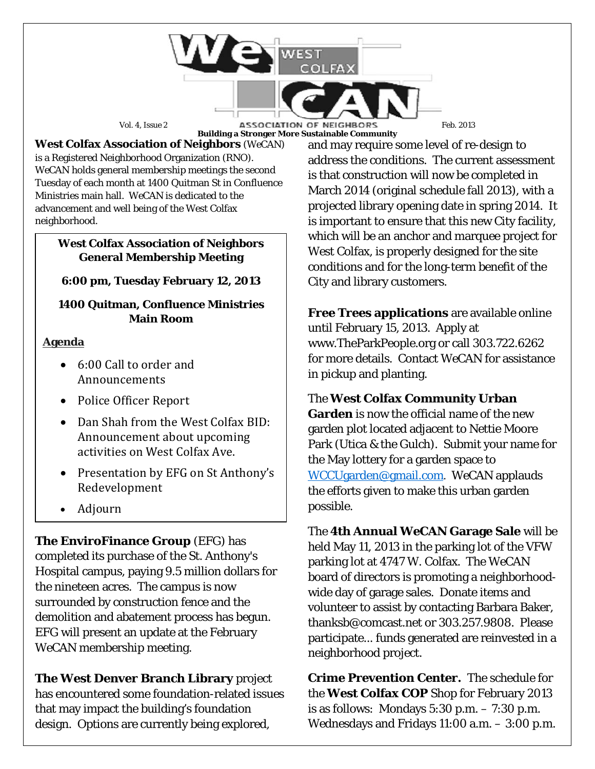Vol. 4, Issue 2 **ASSOCIATION OF NEIGHBORS** Feb. 2013 **Building a Stronger More Sustainable Community**

**West Colfax Association of Neighbors** (*WeCAN*) is a Registered Neighborhood Organization (RNO). *WeCAN* holds general membership meetings the second Tuesday of each month at 1400 Quitman St in Confluence Ministries main hall. *WeCAN* is dedicated to the advancement and well being of the West Colfax neighborhood.

#### **West Colfax Association of Neighbors General Membership Meeting**

## **6:00 pm, Tuesday February 12, 2013**

#### **1400 Quitman, Confluence Ministries Main Room**

### **Agenda**

- 6:00 Call to order and Announcements
- Police Officer Report
- Dan Shah from the West Colfax BID: Announcement about upcoming activities on West Colfax Ave.
- Presentation by EFG on St Anthony's Redevelopment
- Adjourn

**The EnviroFinance Group** (EFG) has completed its purchase of the St. Anthony's Hospital campus, paying 9.5 million dollars for the nineteen acres. The campus is now surrounded by construction fence and the demolition and abatement process has begun. EFG will present an update at the February *WeCAN* membership meeting.

**The West Denver Branch Library** project has encountered some foundation-related issues that may impact the building's foundation design. Options are currently being explored,

and may require some level of re-design to address the conditions. The current assessment is that construction will now be completed in March 2014 (original schedule fall 2013), with a projected library opening date in spring 2014. It is important to ensure that this new City facility, which will be an anchor and marquee project for West Colfax, is properly designed for the site conditions and for the long-term benefit of the City and library customers.

**Free Trees applications** are available online until February 15, 2013. Apply at www.TheParkPeople.org or call 303.722.6262 for more details. Contact *WeCAN* for assistance in pickup and planting.

## The **West Colfax Community Urban**

**Garden** is now the official name of the new garden plot located adjacent to Nettie Moore Park (Utica & the Gulch). Submit your name for the May lottery for a garden space to [WCCUgarden@gmail.com](mailto:WCCUgarden@gmail.com). *WeCAN* applauds the efforts given to make this urban garden possible.

The **4th Annual** *WeCAN* **Garage Sale** will be held May 11, 2013 in the parking lot of the VFW parking lot at 4747 W. Colfax. The WeCAN board of directors is promoting a neighborhoodwide day of garage sales. Donate items and volunteer to assist by contacting Barbara Baker, thanksb@comcast.net or 303.257.9808. Please participate... funds generated are reinvested in a neighborhood project.

**Crime Prevention Center.** The schedule for the **West Colfax COP** Shop for February 2013 is as follows: Mondays 5:30 p.m. – 7:30 p.m. Wednesdays and Fridays 11:00 a.m. – 3:00 p.m.